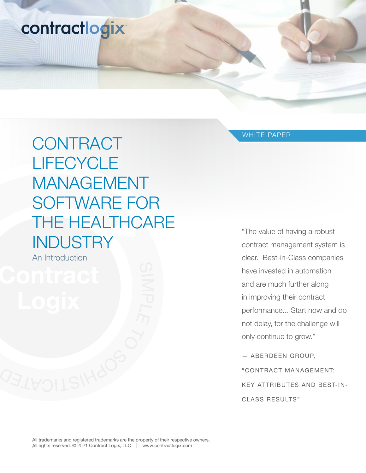# contractlogix

# **CONTRACT LIFECYCLE** MANAGEMENT SOFTWARE FOR THE HEALTHCARE **INDUSTRY**

An Introduction

WHITE PAPER

"The value of having a robust contract management system is clear. Best-in-Class companies have invested in automation and are much further along in improving their contract performance... Start now and do not delay, for the challenge will only continue to grow."

— ABERDEEN GROUP, "CONTRACT MANAGEMENT: KEY ATTRIBUTES AND BEST-IN-CLASS RESULTS"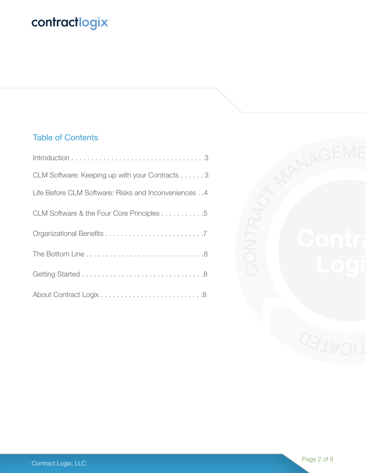# contractlogix

# Table of Contents

| CLM Software: Keeping up with your Contracts 3       |
|------------------------------------------------------|
| Life Before CLM Software: Risks and Inconveniences 4 |
| CLM Software & the Four Core Principles 5            |
|                                                      |
|                                                      |
|                                                      |
|                                                      |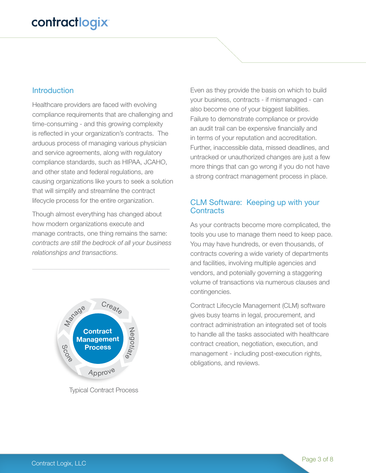#### **Introduction**

Healthcare providers are faced with evolving compliance requirements that are challenging and time-consuming - and this growing complexity is reflected in your organization's contracts. The arduous process of managing various physician and service agreements, along with regulatory compliance standards, such as HIPAA, JCAHO, and other state and federal regulations, are causing organizations like yours to seek a solution that will simplify and streamline the contract lifecycle process for the entire organization.

Though almost everything has changed about how modern organizations execute and manage contracts, one thing remains the same: *contracts are still the bedrock of all your business relationships and transactions.* 



Typical Contract Process

Even as they provide the basis on which to build your business, contracts - if mismanaged - can also become one of your biggest liabilities. Failure to demonstrate compliance or provide an audit trail can be expensive financially and in terms of your reputation and accreditation. Further, inaccessible data, missed deadlines, and untracked or unauthorized changes are just a few more things that can go wrong if you do not have a strong contract management process in place.

#### CLM Software: Keeping up with your **Contracts**

As your contracts become more complicated, the tools you use to manage them need to keep pace. You may have hundreds, or even thousands, of contracts covering a wide variety of departments and facilities, involving multiple agencies and vendors, and potenially governing a staggering volume of transactions via numerous clauses and contingencies.

Contract Lifecycle Management (CLM) software gives busy teams in legal, procurement, and contract administration an integrated set of tools to handle all the tasks associated with healthcare contract creation, negotiation, execution, and management - including post-execution rights, obligations, and reviews.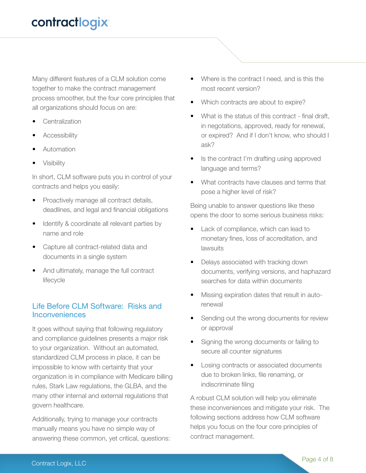Many different features of a CLM solution come together to make the contract management process smoother, but the four core principles that all organizations should focus on are:

- **Centralization**
- **Accessibility**
- **Automation**
- **Visibility**

In short, CLM software puts you in control of your contracts and helps you easily:

- Proactively manage all contract details, deadlines, and legal and financial obligations
- Identify & coordinate all relevant parties by name and role
- Capture all contract-related data and documents in a single system
- And ultimately, manage the full contract lifecycle

#### Life Before CLM Software: Risks and Inconveniences

It goes without saying that following regulatory and compliance guidelines presents a major risk to your organization. Without an automated, standardized CLM process in place, it can be impossible to know with certainty that your organization is in compliance with Medicare billing rules, Stark Law regulations, the GLBA, and the many other internal and external regulations that govern healthcare.

Additionally, trying to manage your contracts manually means you have no simple way of answering these common, yet critical, questions:

- Where is the contract I need, and is this the most recent version?
- Which contracts are about to expire?
- What is the status of this contract final draft, in negotations, approved, ready for renewal, or expired? And if I don't know, who should I ask?
- Is the contract I'm drafting using approved language and terms?
- What contracts have clauses and terms that pose a higher level of risk?

Being unable to answer questions like these opens the door to some serious business risks:

- Lack of compliance, which can lead to monetary fines, loss of accreditation, and lawsuits
- Delays associated with tracking down documents, verifying versions, and haphazard searches for data within documents
- Missing expiration dates that result in autorenewal
- Sending out the wrong documents for review or approval
- Signing the wrong documents or failing to secure all counter signatures
- Losing contracts or associated documents due to broken links, file renaming, or indiscriminate filing

A robust CLM solution will help you eliminate these inconveniences and mitigate your risk. The following sections address how CLM software helps you focus on the four core principles of contract management.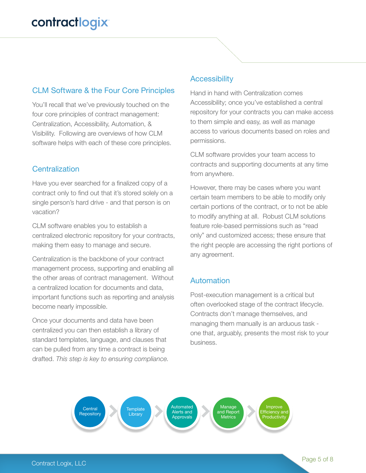# CLM Software & the Four Core Principles

You'll recall that we've previously touched on the four core principles of contract management: Centralization, Accessibility, Automation, & Visibility. Following are overviews of how CLM software helps with each of these core principles.

### **Centralization**

Have you ever searched for a finalized copy of a contract only to find out that it's stored solely on a single person's hard drive - and that person is on vacation?

CLM software enables you to establish a centralized electronic repository for your contracts, making them easy to manage and secure.

Centralization is the backbone of your contract management process, supporting and enabling all the other areas of contract management. Without a centralized location for documents and data, important functions such as reporting and analysis become nearly impossible.

Once your documents and data have been centralized you can then establish a library of standard templates, language, and clauses that can be pulled from any time a contract is being drafted. *This step is key to ensuring compliance.*

#### **Accessibility**

Hand in hand with Centralization comes Accessibility; once you've established a central repository for your contracts you can make access to them simple and easy, as well as manage access to various documents based on roles and permissions.

CLM software provides your team access to contracts and supporting documents at any time from anywhere.

However, there may be cases where you want certain team members to be able to modify only certain portions of the contract, or to not be able to modify anything at all. Robust CLM solutions feature role-based permissions such as "read only" and customized access; these ensure that the right people are accessing the right portions of any agreement.

# **Automation**

Post-execution management is a critical but often overlooked stage of the contract lifecycle. Contracts don't manage themselves, and managing them manually is an arduous task one that, arguably, presents the most risk to your business.

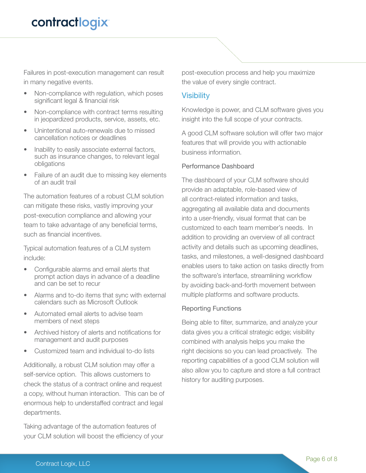Failures in post-execution management can result in many negative events.

- Non-compliance with regulation, which poses significant legal & financial risk
- Non-compliance with contract terms resulting in jeopardized products, service, assets, etc.
- Unintentional auto-renewals due to missed cancellation notices or deadlines
- Inability to easily associate external factors, such as insurance changes, to relevant legal obligations
- Failure of an audit due to missing key elements of an audit trail

The automation features of a robust CLM solution can mitigate these risks, vastly improving your post-execution compliance and allowing your team to take advantage of any beneficial terms, such as financial incentives.

Typical automation features of a CLM system include:

- Configurable alarms and email alerts that prompt action days in advance of a deadline and can be set to recur
- Alarms and to-do items that sync with external calendars such as Microsoft Outlook
- Automated email alerts to advise team members of next steps
- Archived history of alerts and notifications for management and audit purposes
- Customized team and individual to-do lists

Additionally, a robust CLM solution may offer a self-service option. This allows customers to check the status of a contract online and request a copy, without human interaction. This can be of enormous help to understaffed contract and legal departments.

Taking advantage of the automation features of your CLM solution will boost the efficiency of your post-execution process and help you maximize the value of every single contract.

#### **Visibility**

Knowledge is power, and CLM software gives you insight into the full scope of your contracts.

A good CLM software solution will offer two major features that will provide you with actionable business information.

#### Performance Dashboard

The dashboard of your CLM software should provide an adaptable, role-based view of all contract-related information and tasks, aggregating all available data and documents into a user-friendly, visual format that can be customized to each team member's needs. In addition to providing an overview of all contract activity and details such as upcoming deadlines, tasks, and milestones, a well-designed dashboard enables users to take action on tasks directly from the software's interface, streamlining workflow by avoiding back-and-forth movement between multiple platforms and software products.

#### Reporting Functions

Being able to filter, summarize, and analyze your data gives you a critical strategic edge; visibility combined with analysis helps you make the right decisions so you can lead proactively. The reporting capabilities of a good CLM solution will also allow you to capture and store a full contract history for auditing purposes.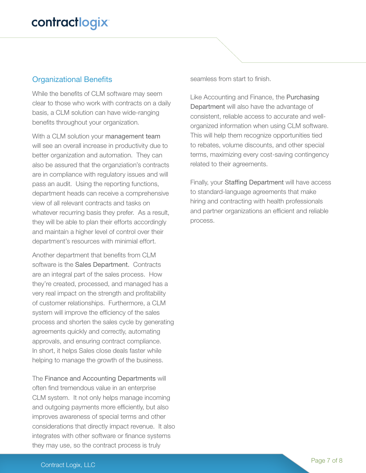### Organizational Benefits

While the benefits of CLM software may seem clear to those who work with contracts on a daily basis, a CLM solution can have wide-ranging benefits throughout your organization.

With a CLM solution your management team will see an overall increase in productivity due to better organization and automation. They can also be assured that the organziation's contracts are in compliance with regulatory issues and will pass an audit. Using the reporting functions, department heads can receive a comprehensive view of all relevant contracts and tasks on whatever recurring basis they prefer. As a result, they will be able to plan their efforts accordingly and maintain a higher level of control over their department's resources with minimial effort.

Another department that benefits from CLM software is the Sales Department. Contracts are an integral part of the sales process. How they're created, processed, and managed has a very real impact on the strength and profitability of customer relationships. Furthermore, a CLM system will improve the efficiency of the sales process and shorten the sales cycle by generating agreements quickly and correctly, automating approvals, and ensuring contract compliance. In short, it helps Sales close deals faster while helping to manage the growth of the business.

The Finance and Accounting Departments will often find tremendous value in an enterprise CLM system. It not only helps manage incoming and outgoing payments more efficiently, but also improves awareness of special terms and other considerations that directly impact revenue. It also integrates with other software or finance systems they may use, so the contract process is truly

seamless from start to finish.

Like Accounting and Finance, the Purchasing Department will also have the advantage of consistent, reliable access to accurate and wellorganized information when using CLM software. This will help them recognize opportunities tied to rebates, volume discounts, and other special terms, maximizing every cost-saving contingency related to their agreements.

Finally, your Staffing Department will have access to standard-language agreements that make hiring and contracting with health professionals and partner organizations an efficient and reliable process.